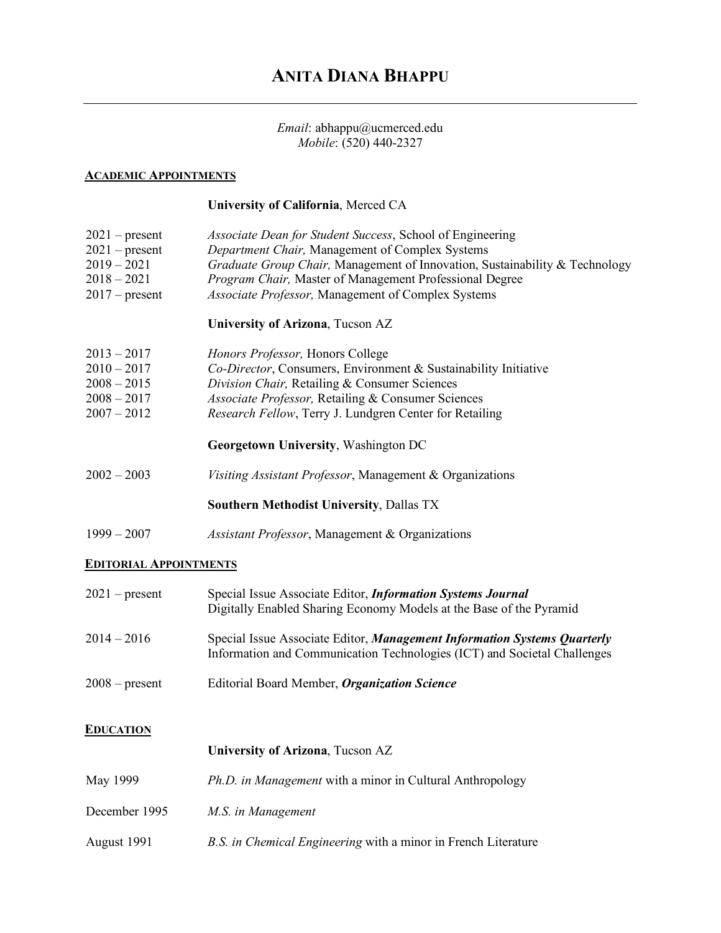# *Email*: abhappu@ucmerced.edu *Mobile*: (520) 440-2327

### **ACADEMIC APPOINTMENTS**

# **University of California**, Merced CA

| $2021$ – present<br>$2021$ – present<br>$2019 - 2021$<br>$2018 - 2021$<br>$2017$ – present | Associate Dean for Student Success, School of Engineering<br>Department Chair, Management of Complex Systems<br>Graduate Group Chair, Management of Innovation, Sustainability & Technology<br>Program Chair, Master of Management Professional Degree<br>Associate Professor, Management of Complex Systems |
|--------------------------------------------------------------------------------------------|--------------------------------------------------------------------------------------------------------------------------------------------------------------------------------------------------------------------------------------------------------------------------------------------------------------|
|                                                                                            | University of Arizona, Tucson AZ                                                                                                                                                                                                                                                                             |
| $2013 - 2017$<br>$2010 - 2017$<br>$2008 - 2015$<br>$2008 - 2017$<br>$2007 - 2012$          | Honors Professor, Honors College<br>Co-Director, Consumers, Environment & Sustainability Initiative<br>Division Chair, Retailing & Consumer Sciences<br>Associate Professor, Retailing & Consumer Sciences<br>Research Fellow, Terry J. Lundgren Center for Retailing                                        |
|                                                                                            | Georgetown University, Washington DC                                                                                                                                                                                                                                                                         |
| $2002 - 2003$                                                                              | Visiting Assistant Professor, Management & Organizations                                                                                                                                                                                                                                                     |
|                                                                                            | <b>Southern Methodist University, Dallas TX</b>                                                                                                                                                                                                                                                              |
| $1999 - 2007$                                                                              | Assistant Professor, Management & Organizations                                                                                                                                                                                                                                                              |
| <b>EDITORIAL APPOINTMENTS</b>                                                              |                                                                                                                                                                                                                                                                                                              |
| $2021$ – present                                                                           | Special Issue Associate Editor, Information Systems Journal<br>Digitally Enabled Sharing Economy Models at the Base of the Pyramid                                                                                                                                                                           |
| $2014 - 2016$                                                                              | Special Issue Associate Editor, Management Information Systems Quarterly<br>Information and Communication Technologies (ICT) and Societal Challenges                                                                                                                                                         |
| $2008$ – present                                                                           | Editorial Board Member, Organization Science                                                                                                                                                                                                                                                                 |
| <b>EDUCATION</b>                                                                           |                                                                                                                                                                                                                                                                                                              |
|                                                                                            | University of Arizona, Tucson AZ                                                                                                                                                                                                                                                                             |
| May 1999                                                                                   | Ph.D. in Management with a minor in Cultural Anthropology                                                                                                                                                                                                                                                    |

- December 1995 *M.S. in Management*
- August 1991 *B.S. in Chemical Engineering* with a minor in French Literature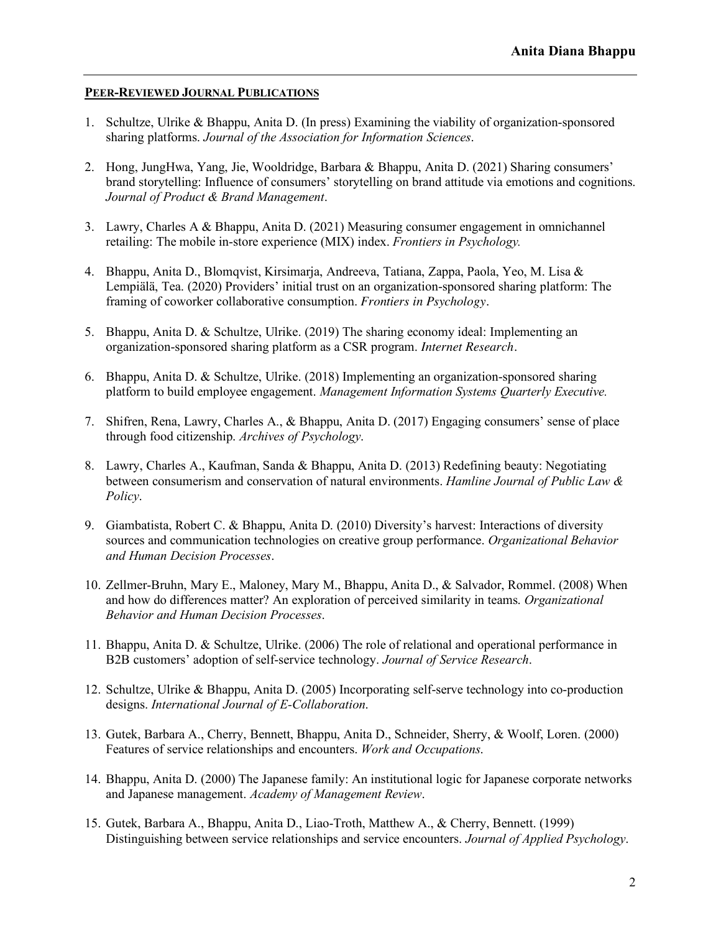### **PEER-REVIEWED JOURNAL PUBLICATIONS**

- 1. Schultze, Ulrike & Bhappu, Anita D. (In press) Examining the viability of organization-sponsored sharing platforms. *Journal of the Association for Information Sciences*.
- 2. Hong, JungHwa, Yang, Jie, Wooldridge, Barbara & Bhappu, Anita D. (2021) Sharing consumers' brand storytelling: Influence of consumers' storytelling on brand attitude via emotions and cognitions. *Journal of Product & Brand Management*.
- 3. Lawry, Charles A & Bhappu, Anita D. (2021) Measuring consumer engagement in omnichannel retailing: The mobile in-store experience (MIX) index. *Frontiers in Psychology.*
- 4. Bhappu, Anita D., Blomqvist, Kirsimarja, Andreeva, Tatiana, Zappa, Paola, Yeo, M. Lisa & Lempiälä, Tea. (2020) Providers' initial trust on an organization-sponsored sharing platform: The framing of coworker collaborative consumption. *Frontiers in Psychology.*
- 5. Bhappu, Anita D. & Schultze, Ulrike. (2019) The sharing economy ideal: Implementing an organization-sponsored sharing platform as a CSR program. *Internet Research.*
- 6. Bhappu, Anita D. & Schultze, Ulrike. (2018) Implementing an organization-sponsored sharing platform to build employee engagement. *Management Information Systems Quarterly Executive.*
- 7. Shifren, Rena, Lawry, Charles A., & Bhappu, Anita D. (2017) Engaging consumers' sense of place through food citizenship. *Archives of Psychology*.
- 8. Lawry, Charles A., Kaufman, Sanda & Bhappu, Anita D. (2013) Redefining beauty: Negotiating between consumerism and conservation of natural environments. *Hamline Journal of Public Law & Policy*.
- 9. Giambatista, Robert C. & Bhappu, Anita D. (2010) Diversity's harvest: Interactions of diversity sources and communication technologies on creative group performance. *Organizational Behavior and Human Decision Processes*.
- 10. Zellmer-Bruhn, Mary E., Maloney, Mary M., Bhappu, Anita D., & Salvador, Rommel. (2008) When and how do differences matter? An exploration of perceived similarity in teams. *Organizational Behavior and Human Decision Processes*.
- 11. Bhappu, Anita D. & Schultze, Ulrike. (2006) The role of relational and operational performance in B2B customers' adoption of self-service technology. *Journal of Service Research*.
- 12. Schultze, Ulrike & Bhappu, Anita D. (2005) Incorporating self-serve technology into co-production designs. *International Journal of E-Collaboration*.
- 13. Gutek, Barbara A., Cherry, Bennett, Bhappu, Anita D., Schneider, Sherry, & Woolf, Loren. (2000) Features of service relationships and encounters. *Work and Occupations*.
- 14. Bhappu, Anita D. (2000) The Japanese family: An institutional logic for Japanese corporate networks and Japanese management. *Academy of Management Review*.
- 15. Gutek, Barbara A., Bhappu, Anita D., Liao-Troth, Matthew A., & Cherry, Bennett. (1999) Distinguishing between service relationships and service encounters. *Journal of Applied Psychology*.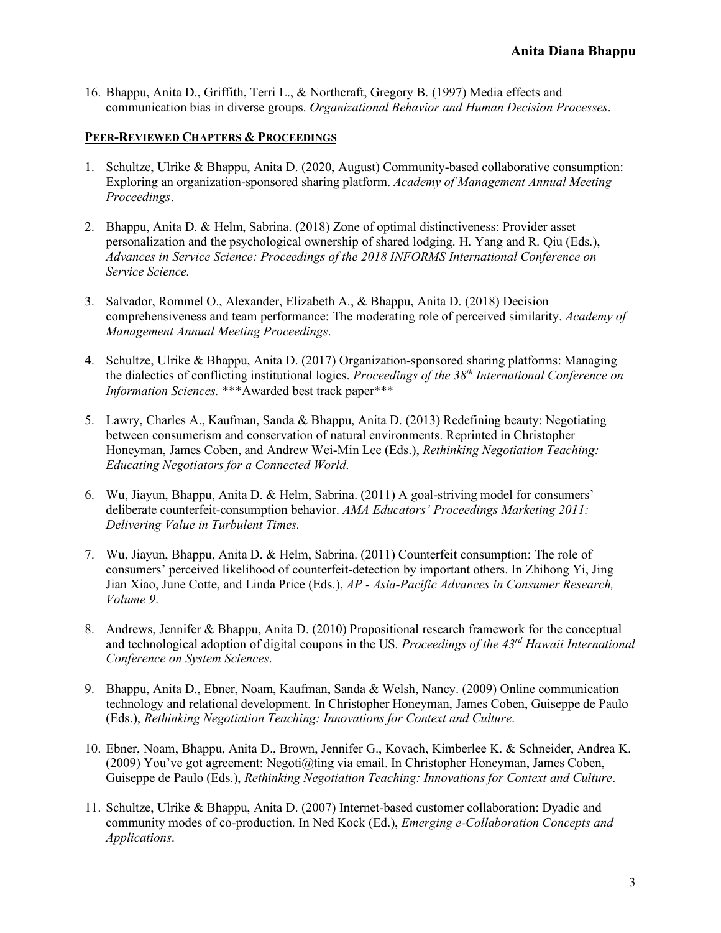16. Bhappu, Anita D., Griffith, Terri L., & Northcraft, Gregory B. (1997) Media effects and communication bias in diverse groups. *Organizational Behavior and Human Decision Processes*.

# **PEER-REVIEWED CHAPTERS & PROCEEDINGS**

- 1. Schultze, Ulrike & Bhappu, Anita D. (2020, August) Community-based collaborative consumption: Exploring an organization-sponsored sharing platform. *Academy of Management Annual Meeting Proceedings*.
- 2. Bhappu, Anita D. & Helm, Sabrina. (2018) Zone of optimal distinctiveness: Provider asset personalization and the psychological ownership of shared lodging. H. Yang and R. Qiu (Eds.), *Advances in Service Science: Proceedings of the 2018 INFORMS International Conference on Service Science.*
- 3. Salvador, Rommel O., Alexander, Elizabeth A., & Bhappu, Anita D. (2018) Decision comprehensiveness and team performance: The moderating role of perceived similarity. *Academy of Management Annual Meeting Proceedings*.
- 4. Schultze, Ulrike & Bhappu, Anita D. (2017) Organization-sponsored sharing platforms: Managing the dialectics of conflicting institutional logics. *Proceedings of the 38th International Conference on Information Sciences.* \*\*\*Awarded best track paper\*\*\*
- 5. Lawry, Charles A., Kaufman, Sanda & Bhappu, Anita D. (2013) Redefining beauty: Negotiating between consumerism and conservation of natural environments. Reprinted in Christopher Honeyman, James Coben, and Andrew Wei-Min Lee (Eds.), *Rethinking Negotiation Teaching: Educating Negotiators for a Connected World*.
- 6. Wu, Jiayun, Bhappu, Anita D. & Helm, Sabrina. (2011) A goal-striving model for consumers' deliberate counterfeit-consumption behavior. *AMA Educators' Proceedings Marketing 2011: Delivering Value in Turbulent Times.*
- 7. Wu, Jiayun, Bhappu, Anita D. & Helm, Sabrina. (2011) Counterfeit consumption: The role of consumers' perceived likelihood of counterfeit-detection by important others. In Zhihong Yi, Jing Jian Xiao, June Cotte, and Linda Price (Eds.), *AP - Asia-Pacific Advances in Consumer Research, Volume 9*.
- 8. Andrews, Jennifer & Bhappu, Anita D. (2010) Propositional research framework for the conceptual and technological adoption of digital coupons in the US. *Proceedings of the 43rd Hawaii International Conference on System Sciences*.
- 9. Bhappu, Anita D., Ebner, Noam, Kaufman, Sanda & Welsh, Nancy. (2009) Online communication technology and relational development. In Christopher Honeyman, James Coben, Guiseppe de Paulo (Eds.), *Rethinking Negotiation Teaching: Innovations for Context and Culture*.
- 10. Ebner, Noam, Bhappu, Anita D., Brown, Jennifer G., Kovach, Kimberlee K. & Schneider, Andrea K.  $(2009)$  You've got agreement: Negoti $@t{line}$  via email. In Christopher Honeyman, James Coben, Guiseppe de Paulo (Eds.), *Rethinking Negotiation Teaching: Innovations for Context and Culture*.
- 11. Schultze, Ulrike & Bhappu, Anita D. (2007) Internet-based customer collaboration: Dyadic and community modes of co-production. In Ned Kock (Ed.), *Emerging e-Collaboration Concepts and Applications*.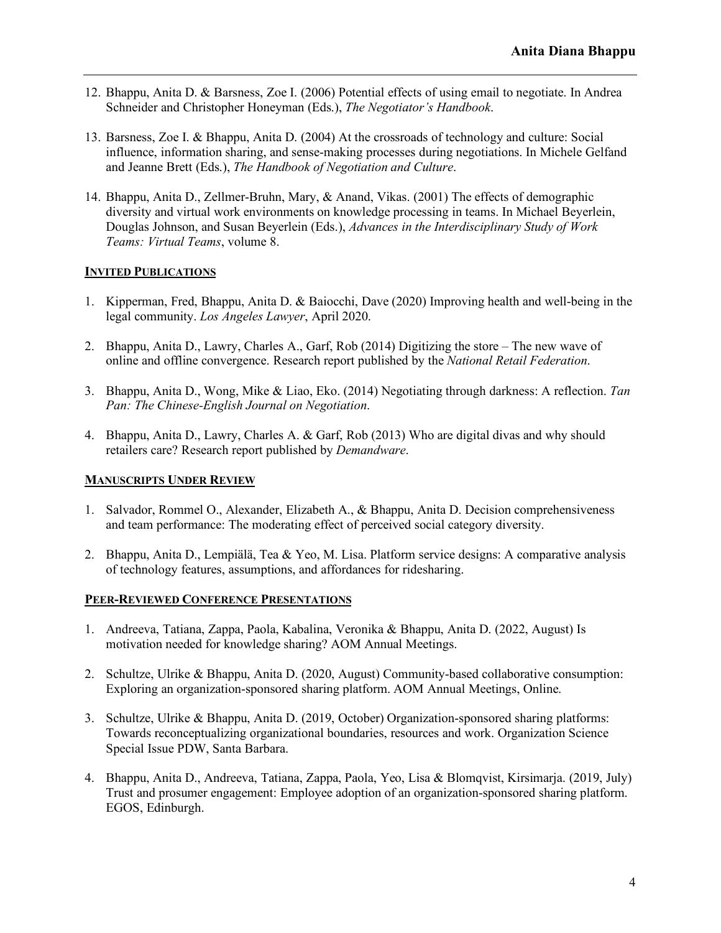- 12. Bhappu, Anita D. & Barsness, Zoe I. (2006) Potential effects of using email to negotiate. In Andrea Schneider and Christopher Honeyman (Eds.), *The Negotiator's Handbook*.
- 13. Barsness, Zoe I. & Bhappu, Anita D. (2004) At the crossroads of technology and culture: Social influence, information sharing, and sense-making processes during negotiations. In Michele Gelfand and Jeanne Brett (Eds.), *The Handbook of Negotiation and Culture*.
- 14. Bhappu, Anita D., Zellmer-Bruhn, Mary, & Anand, Vikas. (2001) The effects of demographic diversity and virtual work environments on knowledge processing in teams. In Michael Beyerlein, Douglas Johnson, and Susan Beyerlein (Eds.), *Advances in the Interdisciplinary Study of Work Teams: Virtual Teams*, volume 8.

# **INVITED PUBLICATIONS**

- 1. Kipperman, Fred, Bhappu, Anita D. & Baiocchi, Dave (2020) Improving health and well-being in the legal community. *Los Angeles Lawyer*, April 2020.
- 2. Bhappu, Anita D., Lawry, Charles A., Garf, Rob (2014) Digitizing the store The new wave of online and offline convergence. Research report published by the *National Retail Federation*.
- 3. Bhappu, Anita D., Wong, Mike & Liao, Eko. (2014) Negotiating through darkness: A reflection. *Tan Pan: The Chinese-English Journal on Negotiation*.
- 4. Bhappu, Anita D., Lawry, Charles A. & Garf, Rob (2013) Who are digital divas and why should retailers care? Research report published by *Demandware*.

# **MANUSCRIPTS UNDER REVIEW**

- 1. Salvador, Rommel O., Alexander, Elizabeth A., & Bhappu, Anita D. Decision comprehensiveness and team performance: The moderating effect of perceived social category diversity.
- 2. Bhappu, Anita D., Lempiälä, Tea & Yeo, M. Lisa. Platform service designs: A comparative analysis of technology features, assumptions, and affordances for ridesharing.

### **PEER-REVIEWED CONFERENCE PRESENTATIONS**

- 1. Andreeva, Tatiana, Zappa, Paola, Kabalina, Veronika & Bhappu, Anita D. (2022, August) Is motivation needed for knowledge sharing? AOM Annual Meetings.
- 2. Schultze, Ulrike & Bhappu, Anita D. (2020, August) Community-based collaborative consumption: Exploring an organization-sponsored sharing platform. AOM Annual Meetings, Online.
- 3. Schultze, Ulrike & Bhappu, Anita D. (2019, October) Organization-sponsored sharing platforms: Towards reconceptualizing organizational boundaries, resources and work. Organization Science Special Issue PDW, Santa Barbara.
- 4. Bhappu, Anita D., Andreeva, Tatiana, Zappa, Paola, Yeo, Lisa & Blomqvist, Kirsimarja. (2019, July) Trust and prosumer engagement: Employee adoption of an organization-sponsored sharing platform. EGOS, Edinburgh.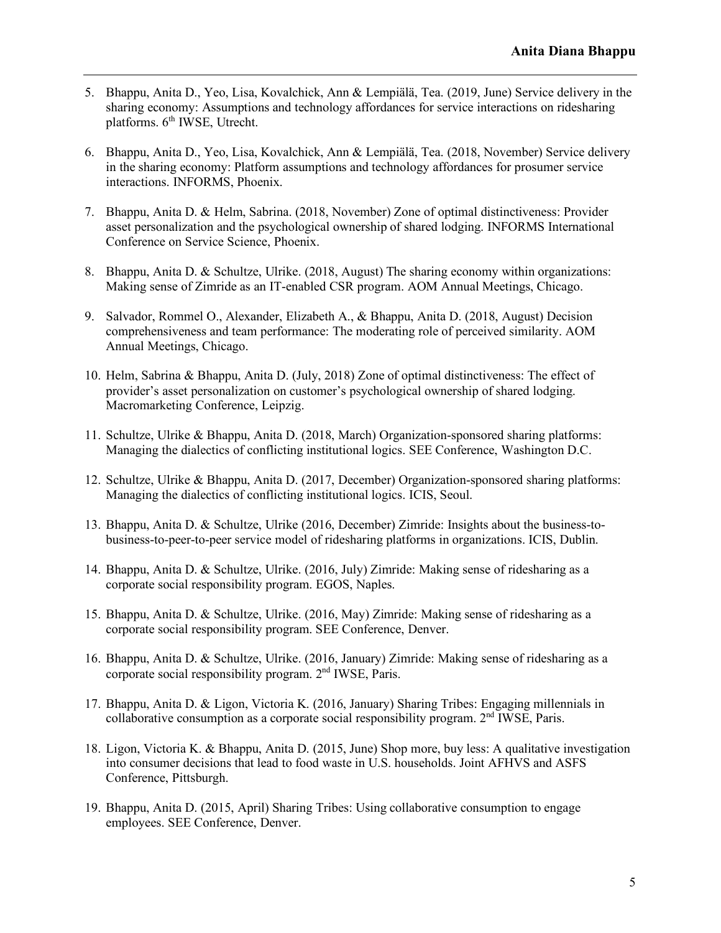- 5. Bhappu, Anita D., Yeo, Lisa, Kovalchick, Ann & Lempiälä, Tea. (2019, June) Service delivery in the sharing economy: Assumptions and technology affordances for service interactions on ridesharing platforms. 6<sup>th</sup> IWSE, Utrecht.
- 6. Bhappu, Anita D., Yeo, Lisa, Kovalchick, Ann & Lempiälä, Tea. (2018, November) Service delivery in the sharing economy: Platform assumptions and technology affordances for prosumer service interactions. INFORMS, Phoenix.
- 7. Bhappu, Anita D. & Helm, Sabrina. (2018, November) Zone of optimal distinctiveness: Provider asset personalization and the psychological ownership of shared lodging. INFORMS International Conference on Service Science, Phoenix.
- 8. Bhappu, Anita D. & Schultze, Ulrike. (2018, August) The sharing economy within organizations: Making sense of Zimride as an IT-enabled CSR program. AOM Annual Meetings, Chicago.
- 9. Salvador, Rommel O., Alexander, Elizabeth A., & Bhappu, Anita D. (2018, August) Decision comprehensiveness and team performance: The moderating role of perceived similarity. AOM Annual Meetings, Chicago.
- 10. Helm, Sabrina & Bhappu, Anita D. (July, 2018) Zone of optimal distinctiveness: The effect of provider's asset personalization on customer's psychological ownership of shared lodging. Macromarketing Conference, Leipzig.
- 11. Schultze, Ulrike & Bhappu, Anita D. (2018, March) Organization-sponsored sharing platforms: Managing the dialectics of conflicting institutional logics. SEE Conference, Washington D.C.
- 12. Schultze, Ulrike & Bhappu, Anita D. (2017, December) Organization-sponsored sharing platforms: Managing the dialectics of conflicting institutional logics. ICIS, Seoul.
- 13. Bhappu, Anita D. & Schultze, Ulrike (2016, December) Zimride: Insights about the business-tobusiness-to-peer-to-peer service model of ridesharing platforms in organizations. ICIS, Dublin.
- 14. Bhappu, Anita D. & Schultze, Ulrike. (2016, July) Zimride: Making sense of ridesharing as a corporate social responsibility program. EGOS, Naples.
- 15. Bhappu, Anita D. & Schultze, Ulrike. (2016, May) Zimride: Making sense of ridesharing as a corporate social responsibility program. SEE Conference, Denver.
- 16. Bhappu, Anita D. & Schultze, Ulrike. (2016, January) Zimride: Making sense of ridesharing as a corporate social responsibility program. 2nd IWSE, Paris.
- 17. Bhappu, Anita D. & Ligon, Victoria K. (2016, January) Sharing Tribes: Engaging millennials in collaborative consumption as a corporate social responsibility program.  $2<sup>nd</sup>$  IWSE, Paris.
- 18. Ligon, Victoria K. & Bhappu, Anita D. (2015, June) Shop more, buy less: A qualitative investigation into consumer decisions that lead to food waste in U.S. households. Joint AFHVS and ASFS Conference, Pittsburgh.
- 19. Bhappu, Anita D. (2015, April) Sharing Tribes: Using collaborative consumption to engage employees. SEE Conference, Denver.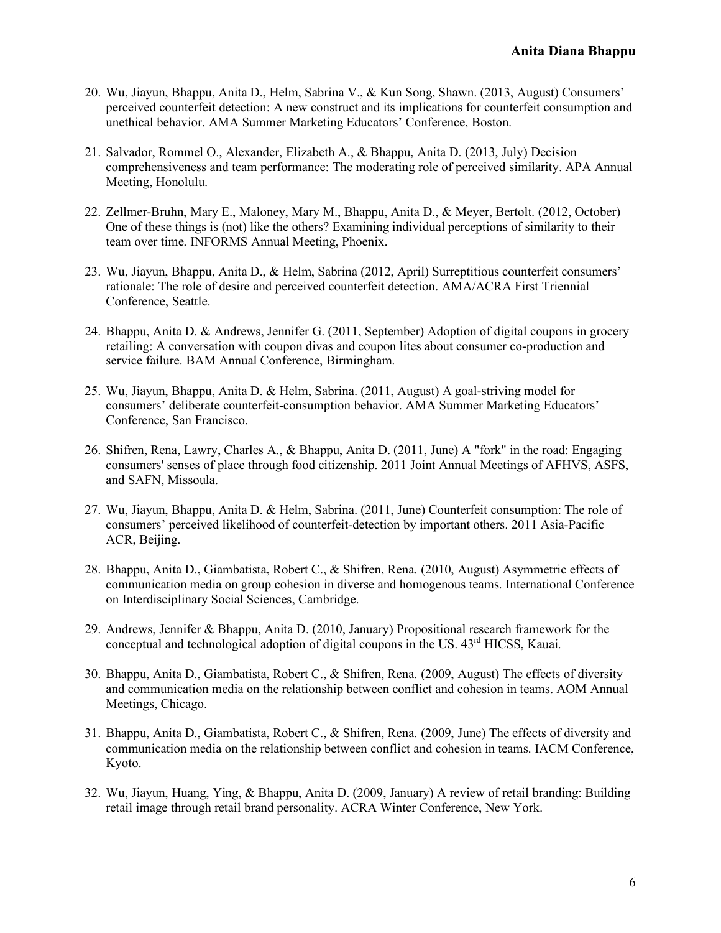- 20. Wu, Jiayun, Bhappu, Anita D., Helm, Sabrina V., & Kun Song, Shawn. (2013, August) Consumers' perceived counterfeit detection: A new construct and its implications for counterfeit consumption and unethical behavior. AMA Summer Marketing Educators' Conference, Boston.
- 21. Salvador, Rommel O., Alexander, Elizabeth A., & Bhappu, Anita D. (2013, July) Decision comprehensiveness and team performance: The moderating role of perceived similarity. APA Annual Meeting, Honolulu.
- 22. Zellmer-Bruhn, Mary E., Maloney, Mary M., Bhappu, Anita D., & Meyer, Bertolt. (2012, October) One of these things is (not) like the others? Examining individual perceptions of similarity to their team over time. INFORMS Annual Meeting, Phoenix.
- 23. Wu, Jiayun, Bhappu, Anita D., & Helm, Sabrina (2012, April) Surreptitious counterfeit consumers' rationale: The role of desire and perceived counterfeit detection. AMA/ACRA First Triennial Conference, Seattle.
- 24. Bhappu, Anita D. & Andrews, Jennifer G. (2011, September) Adoption of digital coupons in grocery retailing: A conversation with coupon divas and coupon lites about consumer co-production and service failure. BAM Annual Conference, Birmingham.
- 25. Wu, Jiayun, Bhappu, Anita D. & Helm, Sabrina. (2011, August) A goal-striving model for consumers' deliberate counterfeit-consumption behavior. AMA Summer Marketing Educators' Conference, San Francisco.
- 26. Shifren, Rena, Lawry, Charles A., & Bhappu, Anita D. (2011, June) A "fork" in the road: Engaging consumers' senses of place through food citizenship. 2011 Joint Annual Meetings of AFHVS, ASFS, and SAFN, Missoula.
- 27. Wu, Jiayun, Bhappu, Anita D. & Helm, Sabrina. (2011, June) Counterfeit consumption: The role of consumers' perceived likelihood of counterfeit-detection by important others. 2011 Asia-Pacific ACR, Beijing.
- 28. Bhappu, Anita D., Giambatista, Robert C., & Shifren, Rena. (2010, August) Asymmetric effects of communication media on group cohesion in diverse and homogenous teams. International Conference on Interdisciplinary Social Sciences, Cambridge.
- 29. Andrews, Jennifer & Bhappu, Anita D. (2010, January) Propositional research framework for the conceptual and technological adoption of digital coupons in the US,  $43<sup>rd</sup>$  HICSS. Kauai.
- 30. Bhappu, Anita D., Giambatista, Robert C., & Shifren, Rena. (2009, August) The effects of diversity and communication media on the relationship between conflict and cohesion in teams. AOM Annual Meetings, Chicago.
- 31. Bhappu, Anita D., Giambatista, Robert C., & Shifren, Rena. (2009, June) The effects of diversity and communication media on the relationship between conflict and cohesion in teams. IACM Conference, Kyoto.
- 32. Wu, Jiayun, Huang, Ying, & Bhappu, Anita D. (2009, January) A review of retail branding: Building retail image through retail brand personality. ACRA Winter Conference, New York.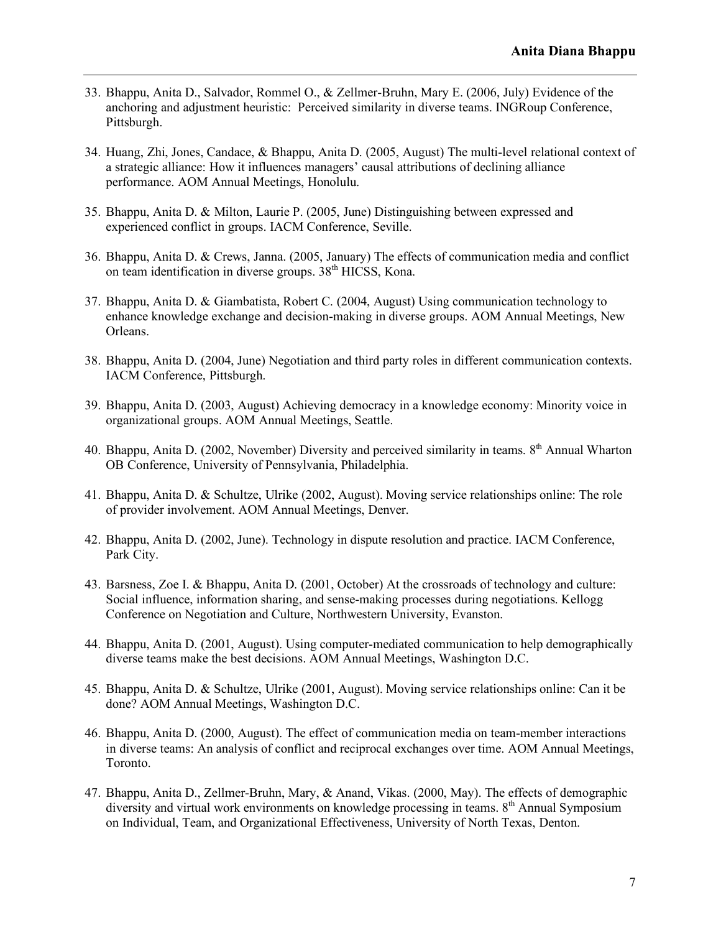- 33. Bhappu, Anita D., Salvador, Rommel O., & Zellmer-Bruhn, Mary E. (2006, July) Evidence of the anchoring and adjustment heuristic: Perceived similarity in diverse teams. INGRoup Conference, Pittsburgh.
- 34. Huang, Zhi, Jones, Candace, & Bhappu, Anita D. (2005, August) The multi-level relational context of a strategic alliance: How it influences managers' causal attributions of declining alliance performance. AOM Annual Meetings, Honolulu.
- 35. Bhappu, Anita D. & Milton, Laurie P. (2005, June) Distinguishing between expressed and experienced conflict in groups. IACM Conference, Seville.
- 36. Bhappu, Anita D. & Crews, Janna. (2005, January) The effects of communication media and conflict on team identification in diverse groups. 38<sup>th</sup> HICSS, Kona.
- 37. Bhappu, Anita D. & Giambatista, Robert C. (2004, August) Using communication technology to enhance knowledge exchange and decision-making in diverse groups. AOM Annual Meetings, New Orleans.
- 38. Bhappu, Anita D. (2004, June) Negotiation and third party roles in different communication contexts. IACM Conference, Pittsburgh.
- 39. Bhappu, Anita D. (2003, August) Achieving democracy in a knowledge economy: Minority voice in organizational groups. AOM Annual Meetings, Seattle.
- 40. Bhappu, Anita D. (2002, November) Diversity and perceived similarity in teams. 8<sup>th</sup> Annual Wharton OB Conference, University of Pennsylvania, Philadelphia.
- 41. Bhappu, Anita D. & Schultze, Ulrike (2002, August). Moving service relationships online: The role of provider involvement. AOM Annual Meetings, Denver.
- 42. Bhappu, Anita D. (2002, June). Technology in dispute resolution and practice. IACM Conference, Park City.
- 43. Barsness, Zoe I. & Bhappu, Anita D. (2001, October) At the crossroads of technology and culture: Social influence, information sharing, and sense-making processes during negotiations. Kellogg Conference on Negotiation and Culture, Northwestern University, Evanston.
- 44. Bhappu, Anita D. (2001, August). Using computer-mediated communication to help demographically diverse teams make the best decisions. AOM Annual Meetings, Washington D.C.
- 45. Bhappu, Anita D. & Schultze, Ulrike (2001, August). Moving service relationships online: Can it be done? AOM Annual Meetings, Washington D.C.
- 46. Bhappu, Anita D. (2000, August). The effect of communication media on team-member interactions in diverse teams: An analysis of conflict and reciprocal exchanges over time. AOM Annual Meetings, Toronto.
- 47. Bhappu, Anita D., Zellmer-Bruhn, Mary, & Anand, Vikas. (2000, May). The effects of demographic diversity and virtual work environments on knowledge processing in teams. 8<sup>th</sup> Annual Symposium on Individual, Team, and Organizational Effectiveness, University of North Texas, Denton.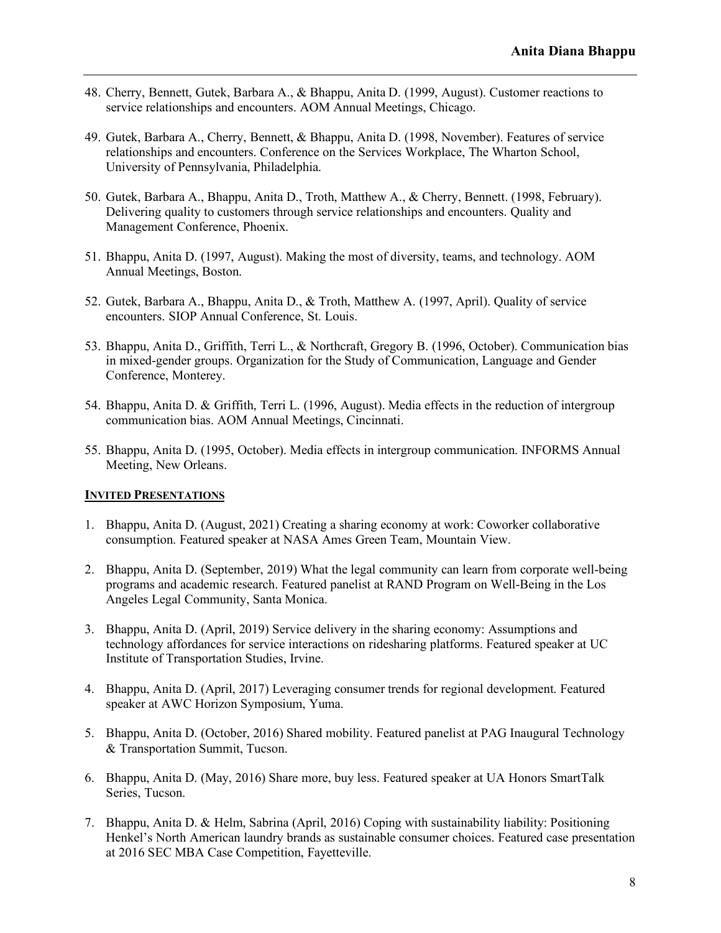- 48. Cherry, Bennett, Gutek, Barbara A., & Bhappu, Anita D. (1999, August). Customer reactions to service relationships and encounters. AOM Annual Meetings, Chicago.
- 49. Gutek, Barbara A., Cherry, Bennett, & Bhappu, Anita D. (1998, November). Features of service relationships and encounters. Conference on the Services Workplace, The Wharton School, University of Pennsylvania, Philadelphia.
- 50. Gutek, Barbara A., Bhappu, Anita D., Troth, Matthew A., & Cherry, Bennett. (1998, February). Delivering quality to customers through service relationships and encounters. Quality and Management Conference, Phoenix.
- 51. Bhappu, Anita D. (1997, August). Making the most of diversity, teams, and technology. AOM Annual Meetings, Boston.
- 52. Gutek, Barbara A., Bhappu, Anita D., & Troth, Matthew A. (1997, April). Quality of service encounters. SIOP Annual Conference, St. Louis.
- 53. Bhappu, Anita D., Griffith, Terri L., & Northcraft, Gregory B. (1996, October). Communication bias in mixed-gender groups. Organization for the Study of Communication, Language and Gender Conference, Monterey.
- 54. Bhappu, Anita D. & Griffith, Terri L. (1996, August). Media effects in the reduction of intergroup communication bias. AOM Annual Meetings, Cincinnati.
- 55. Bhappu, Anita D. (1995, October). Media effects in intergroup communication. INFORMS Annual Meeting, New Orleans.

#### **INVITED PRESENTATIONS**

- 1. Bhappu, Anita D. (August, 2021) Creating a sharing economy at work: Coworker collaborative consumption. Featured speaker at NASA Ames Green Team, Mountain View.
- 2. Bhappu, Anita D. (September, 2019) What the legal community can learn from corporate well-being programs and academic research. Featured panelist at RAND Program on Well-Being in the Los Angeles Legal Community, Santa Monica.
- 3. Bhappu, Anita D. (April, 2019) Service delivery in the sharing economy: Assumptions and technology affordances for service interactions on ridesharing platforms. Featured speaker at UC Institute of Transportation Studies, Irvine.
- 4. Bhappu, Anita D. (April, 2017) Leveraging consumer trends for regional development. Featured speaker at AWC Horizon Symposium, Yuma.
- 5. Bhappu, Anita D. (October, 2016) Shared mobility. Featured panelist at PAG Inaugural Technology & Transportation Summit, Tucson.
- 6. Bhappu, Anita D. (May, 2016) Share more, buy less. Featured speaker at UA Honors SmartTalk Series, Tucson.
- 7. Bhappu, Anita D. & Helm, Sabrina (April, 2016) Coping with sustainability liability: Positioning Henkel's North American laundry brands as sustainable consumer choices. Featured case presentation at 2016 SEC MBA Case Competition, Fayetteville.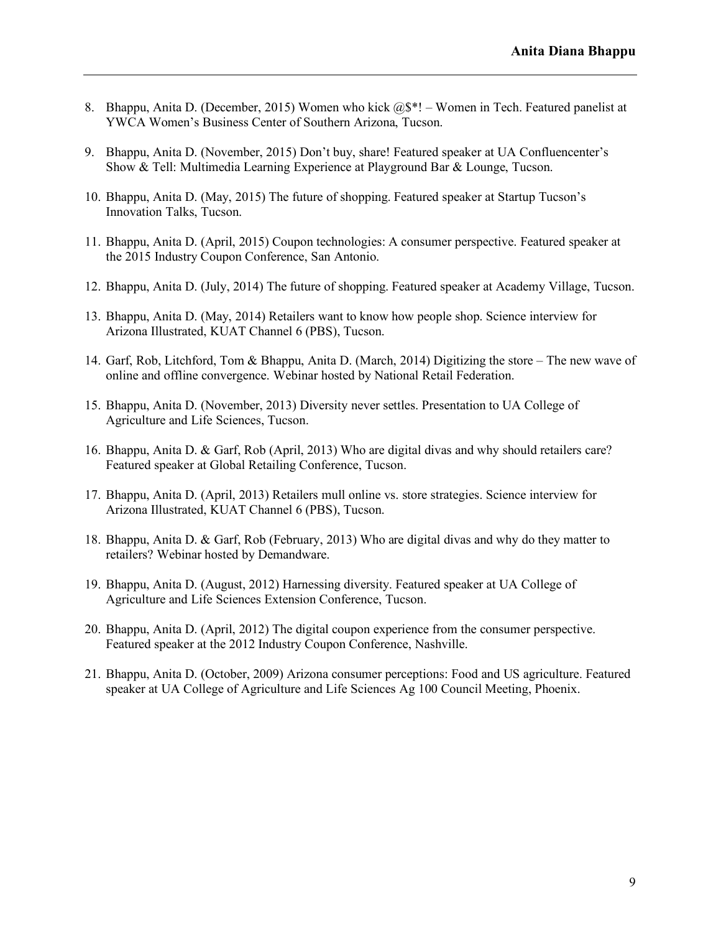- 8. Bhappu, Anita D. (December, 2015) Women who kick @\$\*! Women in Tech. Featured panelist at YWCA Women's Business Center of Southern Arizona, Tucson.
- 9. Bhappu, Anita D. (November, 2015) Don't buy, share! Featured speaker at UA Confluencenter's Show & Tell: Multimedia Learning Experience at Playground Bar & Lounge, Tucson.
- 10. Bhappu, Anita D. (May, 2015) The future of shopping. Featured speaker at Startup Tucson's Innovation Talks, Tucson.
- 11. Bhappu, Anita D. (April, 2015) Coupon technologies: A consumer perspective. Featured speaker at the 2015 Industry Coupon Conference, San Antonio.
- 12. Bhappu, Anita D. (July, 2014) The future of shopping. Featured speaker at Academy Village, Tucson.
- 13. Bhappu, Anita D. (May, 2014) Retailers want to know how people shop. Science interview for Arizona Illustrated, KUAT Channel 6 (PBS), Tucson.
- 14. Garf, Rob, Litchford, Tom & Bhappu, Anita D. (March, 2014) Digitizing the store The new wave of online and offline convergence. Webinar hosted by National Retail Federation.
- 15. Bhappu, Anita D. (November, 2013) Diversity never settles. Presentation to UA College of Agriculture and Life Sciences, Tucson.
- 16. Bhappu, Anita D. & Garf, Rob (April, 2013) Who are digital divas and why should retailers care? Featured speaker at Global Retailing Conference, Tucson.
- 17. Bhappu, Anita D. (April, 2013) Retailers mull online vs. store strategies. Science interview for Arizona Illustrated, KUAT Channel 6 (PBS), Tucson.
- 18. Bhappu, Anita D. & Garf, Rob (February, 2013) Who are digital divas and why do they matter to retailers? Webinar hosted by Demandware.
- 19. Bhappu, Anita D. (August, 2012) Harnessing diversity. Featured speaker at UA College of Agriculture and Life Sciences Extension Conference, Tucson.
- 20. Bhappu, Anita D. (April, 2012) The digital coupon experience from the consumer perspective. Featured speaker at the 2012 Industry Coupon Conference, Nashville.
- 21. Bhappu, Anita D. (October, 2009) Arizona consumer perceptions: Food and US agriculture. Featured speaker at UA College of Agriculture and Life Sciences Ag 100 Council Meeting, Phoenix.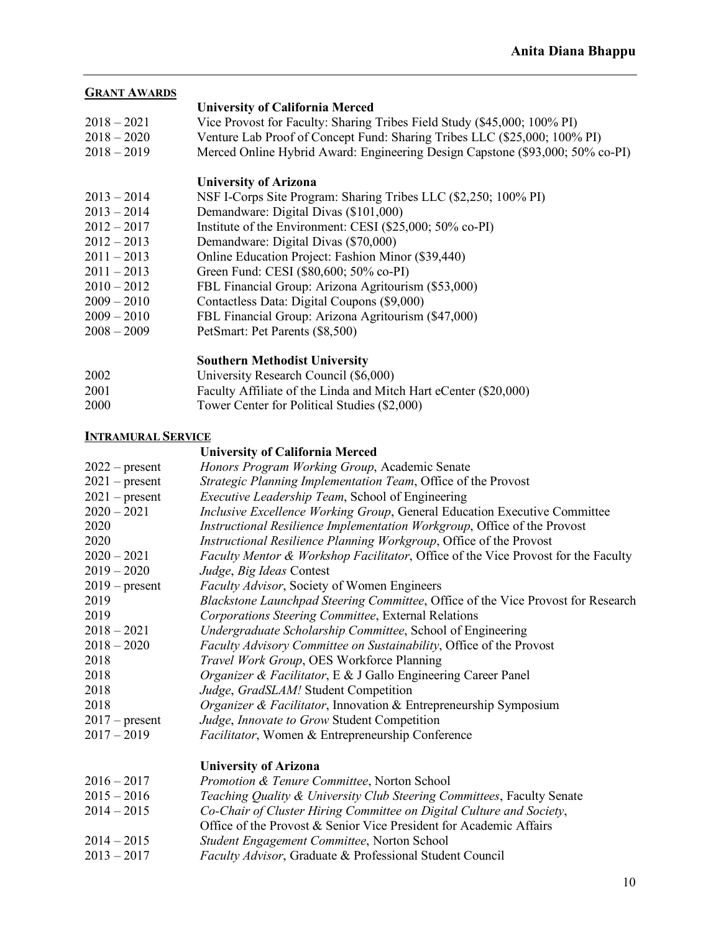### **GRANT AWARDS**

- **University of California Merced**
- 2018 2021 Vice Provost for Faculty: Sharing Tribes Field Study (\$45,000; 100% PI)
- 2018 2020 Venture Lab Proof of Concept Fund: Sharing Tribes LLC (\$25,000; 100% PI)
- 2018 2019 Merced Online Hybrid Award: Engineering Design Capstone (\$93,000; 50% co-PI)

# **University of Arizona**

- 2013 2014 NSF I-Corps Site Program: Sharing Tribes LLC (\$2,250; 100% PI)
- 2013 2014 Demandware: Digital Divas (\$101,000)
- 2012 2017 Institute of the Environment: CESI (\$25,000; 50% co-PI)
- 2012 2013 Demandware: Digital Divas (\$70,000)
- 2011 2013 Online Education Project: Fashion Minor (\$39,440)
- 2011 2013 Green Fund: CESI (\$80,600; 50% co-PI)
- 2010 2012 FBL Financial Group: Arizona Agritourism (\$53,000)
- 2009 2010 Contactless Data: Digital Coupons (\$9,000)
- 2009 2010 FBL Financial Group: Arizona Agritourism (\$47,000)
- 2008 2009 PetSmart: Pet Parents (\$8,500)

# **Southern Methodist University**

- 2002 University Research Council (\$6,000)
- 2001 Faculty Affiliate of the Linda and Mitch Hart eCenter (\$20,000)
- 2000 Tower Center for Political Studies (\$2,000)

# **INTRAMURAL SERVICE**

# **University of California Merced**

| $2022$ – present | Honors Program Working Group, Academic Senate                                     |
|------------------|-----------------------------------------------------------------------------------|
| $2021$ – present | Strategic Planning Implementation Team, Office of the Provost                     |
| $2021$ – present | <i>Executive Leadership Team, School of Engineering</i>                           |
| $2020 - 2021$    | Inclusive Excellence Working Group, General Education Executive Committee         |
| 2020             | Instructional Resilience Implementation Workgroup, Office of the Provost          |
| 2020             | Instructional Resilience Planning Workgroup, Office of the Provost                |
| $2020 - 2021$    | Faculty Mentor & Workshop Facilitator, Office of the Vice Provost for the Faculty |
| $2019 - 2020$    | Judge, Big Ideas Contest                                                          |
| $2019$ – present | <i>Faculty Advisor</i> , Society of Women Engineers                               |
| 2019             | Blackstone Launchpad Steering Committee, Office of the Vice Provost for Research  |
| 2019             | Corporations Steering Committee, External Relations                               |
| $2018 - 2021$    | Undergraduate Scholarship Committee, School of Engineering                        |
| $2018 - 2020$    | Faculty Advisory Committee on Sustainability, Office of the Provost               |
| 2018             | Travel Work Group, OES Workforce Planning                                         |
| 2018             | Organizer & Facilitator, E & J Gallo Engineering Career Panel                     |
| 2018             | Judge, GradSLAM! Student Competition                                              |
| 2018             | <i>Organizer &amp; Facilitator</i> , Innovation & Entrepreneurship Symposium      |
| $2017$ – present | Judge, Innovate to Grow Student Competition                                       |
| $2017 - 2019$    | Facilitator, Women & Entrepreneurship Conference                                  |
|                  | <b>University of Arizona</b>                                                      |
| $2016 - 2017$    | Promotion & Tenure Committee, Norton School                                       |
| $2015 - 2016$    | Teaching Quality & University Club Steering Committees, Faculty Senate            |
| $2014 - 2015$    | Co-Chair of Cluster Hiring Committee on Digital Culture and Society,              |
|                  | Office of the Provost & Senior Vice President for Academic Affairs                |
| $2014 - 2015$    | Student Engagement Committee, Norton School                                       |

2013 – 2017 *Faculty Advisor*, Graduate & Professional Student Council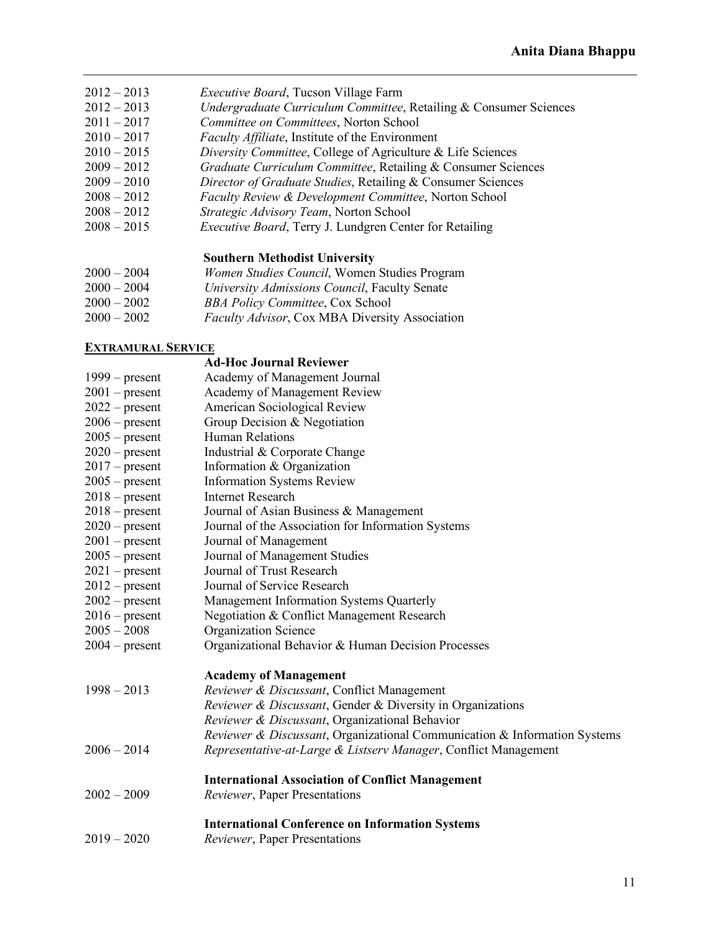- 2012 2013 *Executive Board*, Tucson Village Farm
- 2012 2013 *Undergraduate Curriculum Committee*, Retailing & Consumer Sciences
- 2011 2017 *Committee on Committees*, Norton School
- Faculty Affiliate, Institute of the Environment
- 2010 2015 *Diversity Committee*, College of Agriculture & Life Sciences
- 2009 2012 *Graduate Curriculum Committee*, Retailing & Consumer Sciences
- 2009 2010 *Director of Graduate Studies*, Retailing & Consumer Sciences
- 2008 2012 *Faculty Review & Development Committee*, Norton School
- 2008 2012 *Strategic Advisory Team*, Norton School
- 2008 2015 *Executive Board*, Terry J. Lundgren Center for Retailing

### **Southern Methodist University**

- 2000 2004 *Women Studies Council*, Women Studies Program
- 2000 2004 *University Admissions Council*, Faculty Senate
- 2000 2002 *BBA Policy Committee*, Cox School
- 2000 2002 *Faculty Advisor*, Cox MBA Diversity Association

### **EXTRAMURAL SERVICE**

|                  | <b>Ad-Hoc Journal Reviewer</b>                                            |
|------------------|---------------------------------------------------------------------------|
| $1999$ – present | Academy of Management Journal                                             |
| $2001$ – present | Academy of Management Review                                              |
| $2022$ – present | American Sociological Review                                              |
| $2006$ – present | Group Decision & Negotiation                                              |
| $2005$ – present | Human Relations                                                           |
| $2020$ – present | Industrial & Corporate Change                                             |
| $2017$ – present | Information & Organization                                                |
| $2005$ – present | <b>Information Systems Review</b>                                         |
| $2018$ – present | <b>Internet Research</b>                                                  |
| $2018$ – present | Journal of Asian Business & Management                                    |
| $2020$ – present | Journal of the Association for Information Systems                        |
| $2001$ – present | Journal of Management                                                     |
| $2005$ – present | Journal of Management Studies                                             |
| $2021$ – present | Journal of Trust Research                                                 |
| $2012$ – present | Journal of Service Research                                               |
| $2002$ – present | Management Information Systems Quarterly                                  |
| $2016$ – present | Negotiation & Conflict Management Research                                |
| $2005 - 2008$    | <b>Organization Science</b>                                               |
| $2004$ – present | Organizational Behavior & Human Decision Processes                        |
|                  | <b>Academy of Management</b>                                              |
| $1998 - 2013$    | Reviewer & Discussant, Conflict Management                                |
|                  | Reviewer & Discussant, Gender & Diversity in Organizations                |
|                  | Reviewer & Discussant, Organizational Behavior                            |
|                  | Reviewer & Discussant, Organizational Communication & Information Systems |
| $2006 - 2014$    | Representative-at-Large & Listserv Manager, Conflict Management           |
|                  | <b>International Association of Conflict Management</b>                   |
| $2002 - 2009$    | Reviewer, Paper Presentations                                             |
|                  | <b>International Conference on Information Systems</b>                    |
| $2019 - 2020$    | Reviewer, Paper Presentations                                             |
|                  |                                                                           |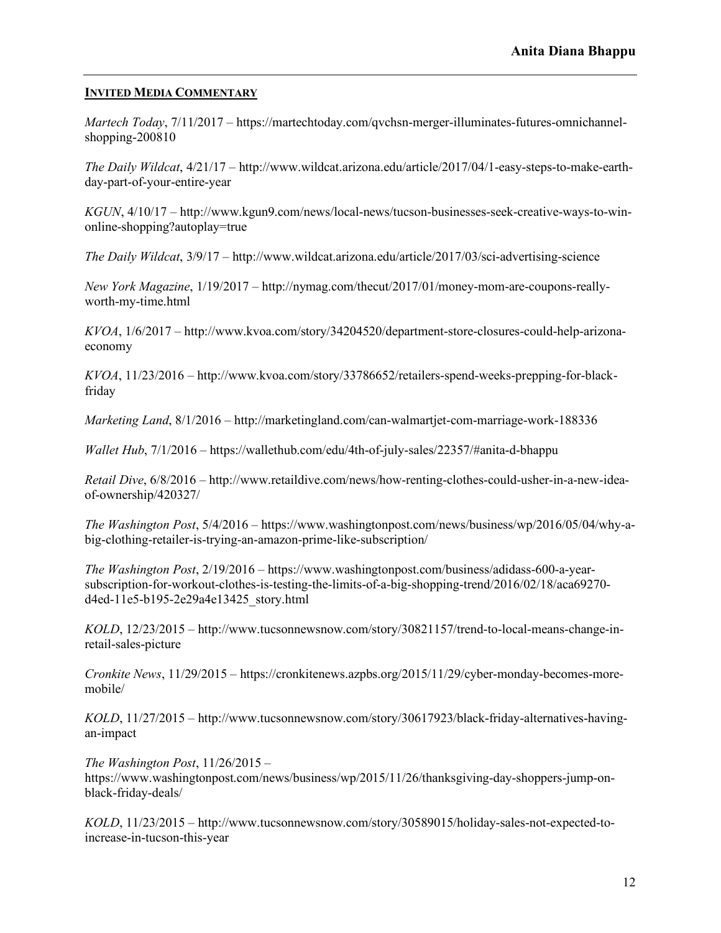# **INVITED MEDIA COMMENTARY**

*Martech Today*, 7/11/2017 – https://martechtoday.com/qvchsn-merger-illuminates-futures-omnichannelshopping-200810

*The Daily Wildcat*, 4/21/17 – http://www.wildcat.arizona.edu/article/2017/04/1-easy-steps-to-make-earthday-part-of-your-entire-year

*KGUN*, 4/10/17 – http://www.kgun9.com/news/local-news/tucson-businesses-seek-creative-ways-to-winonline-shopping?autoplay=true

*The Daily Wildcat*, 3/9/17 – http://www.wildcat.arizona.edu/article/2017/03/sci-advertising-science

*New York Magazine*, 1/19/2017 – http://nymag.com/thecut/2017/01/money-mom-are-coupons-reallyworth-my-time.html

*KVOA*, 1/6/2017 – http://www.kvoa.com/story/34204520/department-store-closures-could-help-arizonaeconomy

*KVOA*, 11/23/2016 – http://www.kvoa.com/story/33786652/retailers-spend-weeks-prepping-for-blackfriday

*Marketing Land*, 8/1/2016 – http://marketingland.com/can-walmartjet-com-marriage-work-188336

*Wallet Hub*, 7/1/2016 – https://wallethub.com/edu/4th-of-july-sales/22357/#anita-d-bhappu

*Retail Dive*, 6/8/2016 – http://www.retaildive.com/news/how-renting-clothes-could-usher-in-a-new-ideaof-ownership/420327/

*The Washington Post*, 5/4/2016 – https://www.washingtonpost.com/news/business/wp/2016/05/04/why-abig-clothing-retailer-is-trying-an-amazon-prime-like-subscription/

*The Washington Post*, 2/19/2016 – https://www.washingtonpost.com/business/adidass-600-a-yearsubscription-for-workout-clothes-is-testing-the-limits-of-a-big-shopping-trend/2016/02/18/aca69270 d4ed-11e5-b195-2e29a4e13425\_story.html

*KOLD*, 12/23/2015 – http://www.tucsonnewsnow.com/story/30821157/trend-to-local-means-change-inretail-sales-picture

*Cronkite News*, 11/29/2015 – https://cronkitenews.azpbs.org/2015/11/29/cyber-monday-becomes-moremobile/

*KOLD*, 11/27/2015 – http://www.tucsonnewsnow.com/story/30617923/black-friday-alternatives-havingan-impact

*The Washington Post*, 11/26/2015 – https://www.washingtonpost.com/news/business/wp/2015/11/26/thanksgiving-day-shoppers-jump-onblack-friday-deals/

*KOLD*, 11/23/2015 – http://www.tucsonnewsnow.com/story/30589015/holiday-sales-not-expected-toincrease-in-tucson-this-year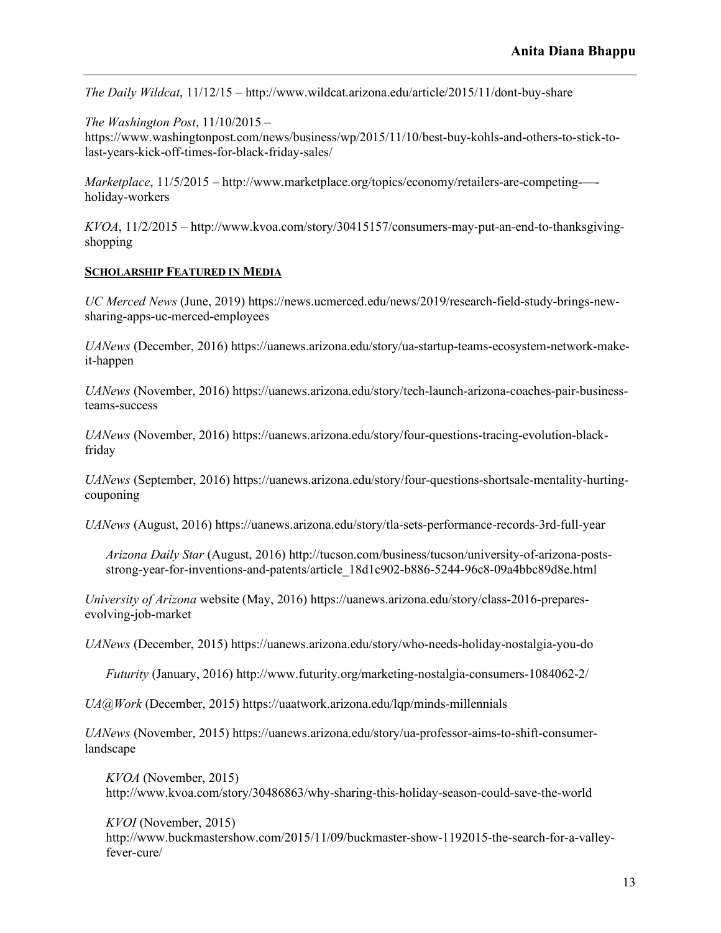*The Daily Wildcat*, 11/12/15 – http://www.wildcat.arizona.edu/article/2015/11/dont-buy-share

*The Washington Post*, 11/10/2015 – https://www.washingtonpost.com/news/business/wp/2015/11/10/best-buy-kohls-and-others-to-stick-tolast-years-kick-off-times-for-black-friday-sales/

*Marketplace*, 11/5/2015 – http://www.marketplace.org/topics/economy/retailers-are-competing-— holiday-workers

*KVOA*, 11/2/2015 – http://www.kvoa.com/story/30415157/consumers-may-put-an-end-to-thanksgivingshopping

### **SCHOLARSHIP FEATURED IN MEDIA**

*UC Merced News* (June, 2019) https://news.ucmerced.edu/news/2019/research-field-study-brings-newsharing-apps-uc-merced-employees

*UANews* (December, 2016) https://uanews.arizona.edu/story/ua-startup-teams-ecosystem-network-makeit-happen

*UANews* (November, 2016) https://uanews.arizona.edu/story/tech-launch-arizona-coaches-pair-businessteams-success

*UANews* (November, 2016) https://uanews.arizona.edu/story/four-questions-tracing-evolution-blackfriday

*UANews* (September, 2016) https://uanews.arizona.edu/story/four-questions-shortsale-mentality-hurtingcouponing

*UANews* (August, 2016) https://uanews.arizona.edu/story/tla-sets-performance-records-3rd-full-year

*Arizona Daily Star* (August, 2016) http://tucson.com/business/tucson/university-of-arizona-postsstrong-year-for-inventions-and-patents/article\_18d1c902-b886-5244-96c8-09a4bbc89d8e.html

*University of Arizona* website (May, 2016) https://uanews.arizona.edu/story/class-2016-preparesevolving-job-market

*UANews* (December, 2015) https://uanews.arizona.edu/story/who-needs-holiday-nostalgia-you-do

*Futurity* (January, 2016) http://www.futurity.org/marketing-nostalgia-consumers-1084062-2/

*UA@Work* (December, 2015) https://uaatwork.arizona.edu/lqp/minds-millennials

*UANews* (November, 2015) https://uanews.arizona.edu/story/ua-professor-aims-to-shift-consumerlandscape

*KVOA* (November, 2015) http://www.kvoa.com/story/30486863/why-sharing-this-holiday-season-could-save-the-world

*KVOI* (November, 2015) http://www.buckmastershow.com/2015/11/09/buckmaster-show-1192015-the-search-for-a-valleyfever-cure/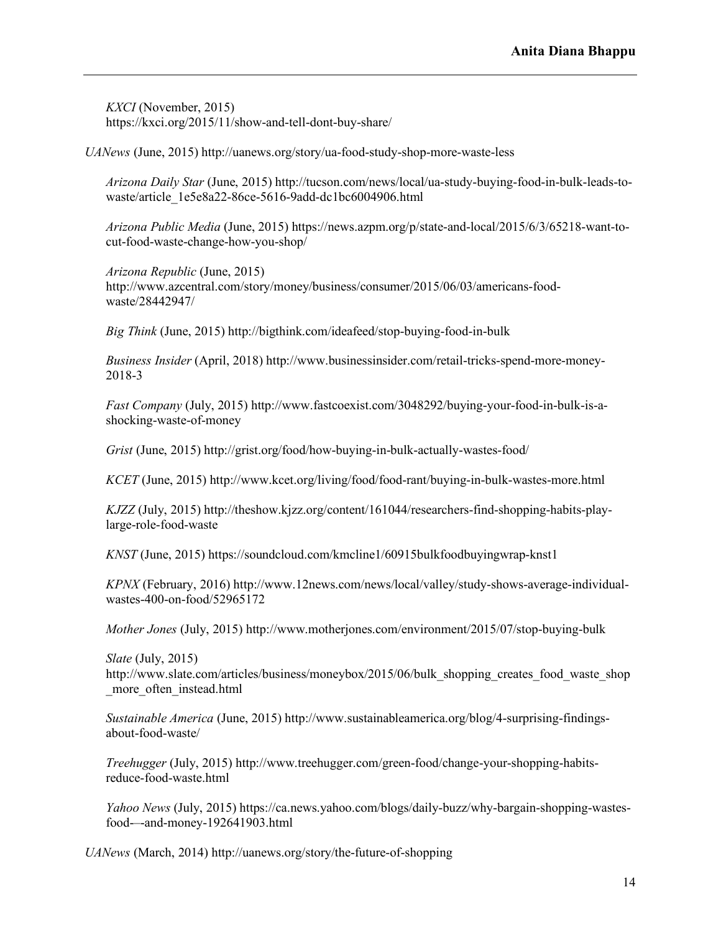*KXCI* (November, 2015) https://kxci.org/2015/11/show-and-tell-dont-buy-share/

*UANews* (June, 2015) http://uanews.org/story/ua-food-study-shop-more-waste-less

*Arizona Daily Star* (June, 2015) http://tucson.com/news/local/ua-study-buying-food-in-bulk-leads-towaste/article\_1e5e8a22-86ce-5616-9add-dc1bc6004906.html

*Arizona Public Media* (June, 2015) https://news.azpm.org/p/state-and-local/2015/6/3/65218-want-tocut-food-waste-change-how-you-shop/

*Arizona Republic* (June, 2015) http://www.azcentral.com/story/money/business/consumer/2015/06/03/americans-foodwaste/28442947/

*Big Think* (June, 2015) http://bigthink.com/ideafeed/stop-buying-food-in-bulk

*Business Insider* (April, 2018) http://www.businessinsider.com/retail-tricks-spend-more-money-2018-3

*Fast Company* (July, 2015) http://www.fastcoexist.com/3048292/buying-your-food-in-bulk-is-ashocking-waste-of-money

*Grist* (June, 2015) http://grist.org/food/how-buying-in-bulk-actually-wastes-food/

*KCET* (June, 2015) http://www.kcet.org/living/food/food-rant/buying-in-bulk-wastes-more.html

*KJZZ* (July, 2015) http://theshow.kjzz.org/content/161044/researchers-find-shopping-habits-playlarge-role-food-waste

*KNST* (June, 2015) https://soundcloud.com/kmcline1/60915bulkfoodbuyingwrap-knst1

*KPNX* (February, 2016) http://www.12news.com/news/local/valley/study-shows-average-individualwastes-400-on-food/52965172

*Mother Jones* (July, 2015) http://www.motherjones.com/environment/2015/07/stop-buying-bulk

*Slate* (July, 2015) http://www.slate.com/articles/business/moneybox/2015/06/bulk\_shopping\_creates\_food\_waste\_shop \_more\_often\_instead.html

*Sustainable America* (June, 2015) http://www.sustainableamerica.org/blog/4-surprising-findingsabout-food-waste/

*Treehugger* (July, 2015) http://www.treehugger.com/green-food/change-your-shopping-habitsreduce-food-waste.html

*Yahoo News* (July, 2015) https://ca.news.yahoo.com/blogs/daily-buzz/why-bargain-shopping-wastesfood-–-and-money-192641903.html

*UANews* (March, 2014) http://uanews.org/story/the-future-of-shopping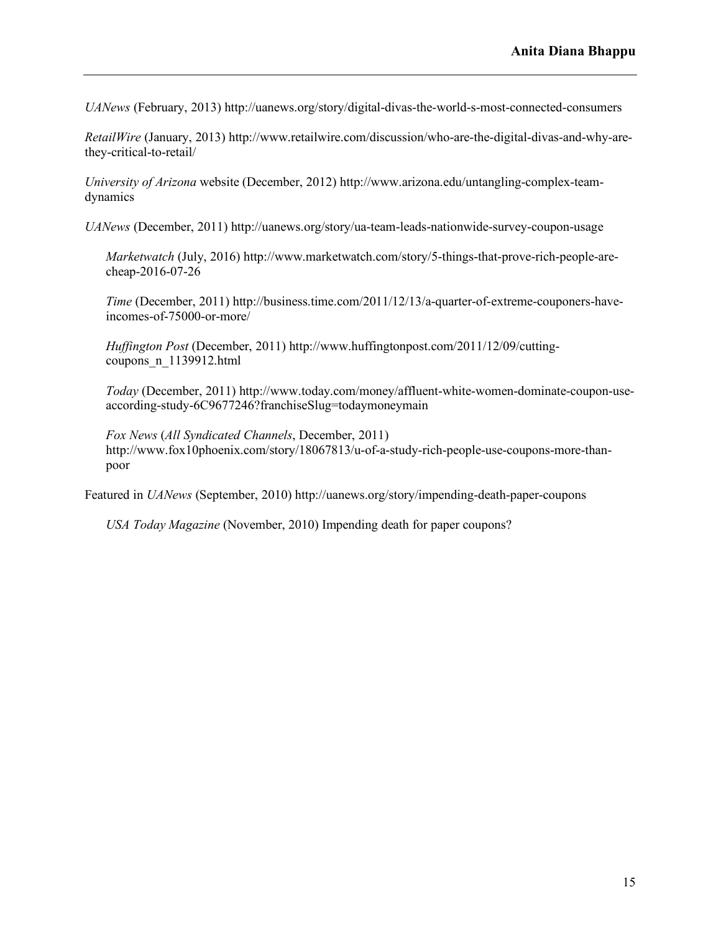*UANews* (February, 2013) http://uanews.org/story/digital-divas-the-world-s-most-connected-consumers

*RetailWire* (January, 2013) http://www.retailwire.com/discussion/who-are-the-digital-divas-and-why-arethey-critical-to-retail/

*University of Arizona* website (December, 2012) http://www.arizona.edu/untangling-complex-teamdynamics

*UANews* (December, 2011) http://uanews.org/story/ua-team-leads-nationwide-survey-coupon-usage

*Marketwatch* (July, 2016) http://www.marketwatch.com/story/5-things-that-prove-rich-people-arecheap-2016-07-26

*Time* (December, 2011) http://business.time.com/2011/12/13/a-quarter-of-extreme-couponers-haveincomes-of-75000-or-more/

*Huffington Post* (December, 2011) http://www.huffingtonpost.com/2011/12/09/cuttingcoupons\_n\_1139912.html

*Today* (December, 2011) http://www.today.com/money/affluent-white-women-dominate-coupon-useaccording-study-6C9677246?franchiseSlug=todaymoneymain

*Fox News* (*All Syndicated Channels*, December, 2011) http://www.fox10phoenix.com/story/18067813/u-of-a-study-rich-people-use-coupons-more-thanpoor

Featured in *UANews* (September, 2010) http://uanews.org/story/impending-death-paper-coupons

*USA Today Magazine* (November, 2010) Impending death for paper coupons?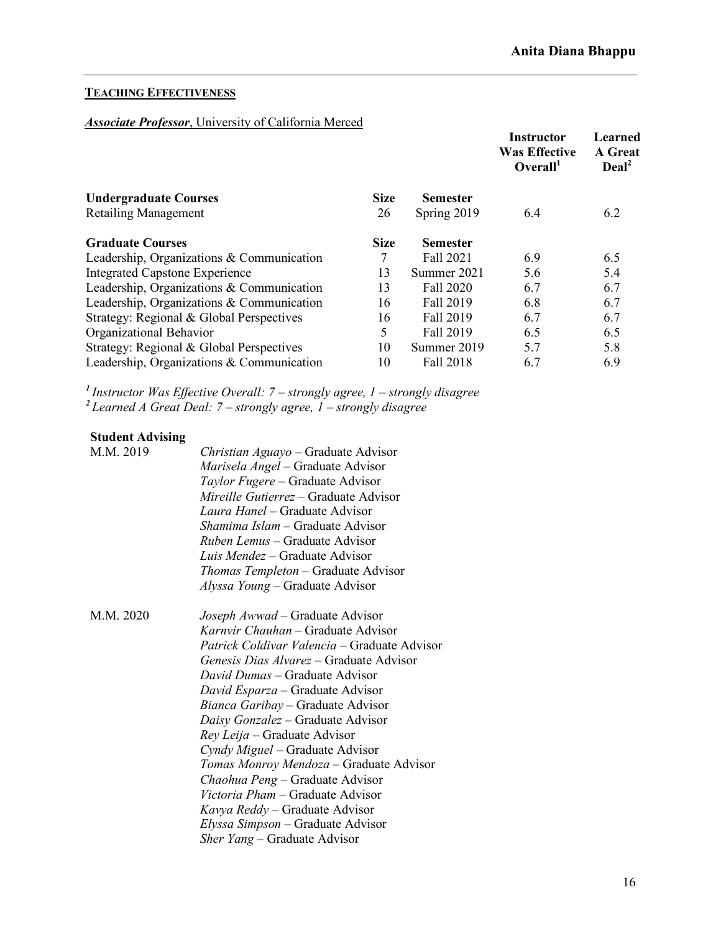# **TEACHING EFFECTIVENESS**

# *Associate Professor*, University of California Merced

| Overall <sup>1</sup>                                           |     |     |
|----------------------------------------------------------------|-----|-----|
| <b>Size</b><br><b>Undergraduate Courses</b><br><b>Semester</b> |     |     |
| 26<br>Spring 2019<br><b>Retailing Management</b>               | 6.4 | 6.2 |
| <b>Size</b><br><b>Graduate Courses</b><br><b>Semester</b>      |     |     |
| 7<br>Fall 2021<br>Leadership, Organizations $&$ Communication  | 6.9 | 6.5 |
| <b>Integrated Capstone Experience</b><br>13<br>Summer 2021     | 5.6 | 5.4 |
| Leadership, Organizations & Communication<br>13<br>Fall 2020   | 6.7 | 6.7 |
| Leadership, Organizations & Communication<br>16<br>Fall 2019   | 6.8 | 6.7 |
| Strategy: Regional & Global Perspectives<br>16<br>Fall 2019    | 6.7 | 6.7 |
| 5<br>Organizational Behavior<br>Fall 2019                      | 6.5 | 6.5 |
| Strategy: Regional & Global Perspectives<br>10<br>Summer 2019  | 5.7 | 5.8 |
| Leadership, Organizations & Communication<br>10<br>Fall 2018   | 6.7 | 6.9 |

*<sup>1</sup>Instructor Was Effective Overall: 7 – strongly agree, 1 – strongly disagree <sup>2</sup>Learned A Great Deal: 7 – strongly agree, 1 – strongly disagree*

# **Student Advising**

| M.M. 2019 | <i>Christian Aguayo</i> – Graduate Advisor                                       |  |  |  |  |  |
|-----------|----------------------------------------------------------------------------------|--|--|--|--|--|
|           | Marisela Angel - Graduate Advisor                                                |  |  |  |  |  |
|           | <i>Taylor Fugere</i> – Graduate Advisor                                          |  |  |  |  |  |
|           | Mireille Gutierrez – Graduate Advisor                                            |  |  |  |  |  |
|           | <i>Laura Hanel</i> – Graduate Advisor                                            |  |  |  |  |  |
|           | <i>Shamima Islam</i> – Graduate Advisor<br><i>Ruben Lemus – Graduate Advisor</i> |  |  |  |  |  |
|           |                                                                                  |  |  |  |  |  |
|           | <i>Thomas Templeton</i> – Graduate Advisor                                       |  |  |  |  |  |
|           | Alyssa Young – Graduate Advisor                                                  |  |  |  |  |  |
| M.M. 2020 | Joseph Awwad – Graduate Advisor                                                  |  |  |  |  |  |
|           | Karnvir Chauhan - Graduate Advisor                                               |  |  |  |  |  |
|           | <i>Patrick Coldivar Valencia</i> – Graduate Advisor                              |  |  |  |  |  |
|           | <i>Genesis Dias Alvarez</i> – Graduate Advisor                                   |  |  |  |  |  |
|           | <i>David Dumas</i> – Graduate Advisor                                            |  |  |  |  |  |
|           | David Esparza – Graduate Advisor                                                 |  |  |  |  |  |
|           | Bianca Garibay – Graduate Advisor                                                |  |  |  |  |  |
|           | Daisy Gonzalez – Graduate Advisor                                                |  |  |  |  |  |
|           | Rey Leija – Graduate Advisor                                                     |  |  |  |  |  |
|           | Cyndy Miguel – Graduate Advisor                                                  |  |  |  |  |  |
|           | Tomas Monroy Mendoza - Graduate Advisor                                          |  |  |  |  |  |
|           | <i>Chaohua Peng</i> – Graduate Advisor                                           |  |  |  |  |  |
|           | Victoria Pham - Graduate Advisor                                                 |  |  |  |  |  |
|           | Kavya Reddy – Graduate Advisor                                                   |  |  |  |  |  |
|           | <i>Elyssa Simpson</i> – Graduate Advisor                                         |  |  |  |  |  |
|           | <i>Sher Yang</i> – Graduate Advisor                                              |  |  |  |  |  |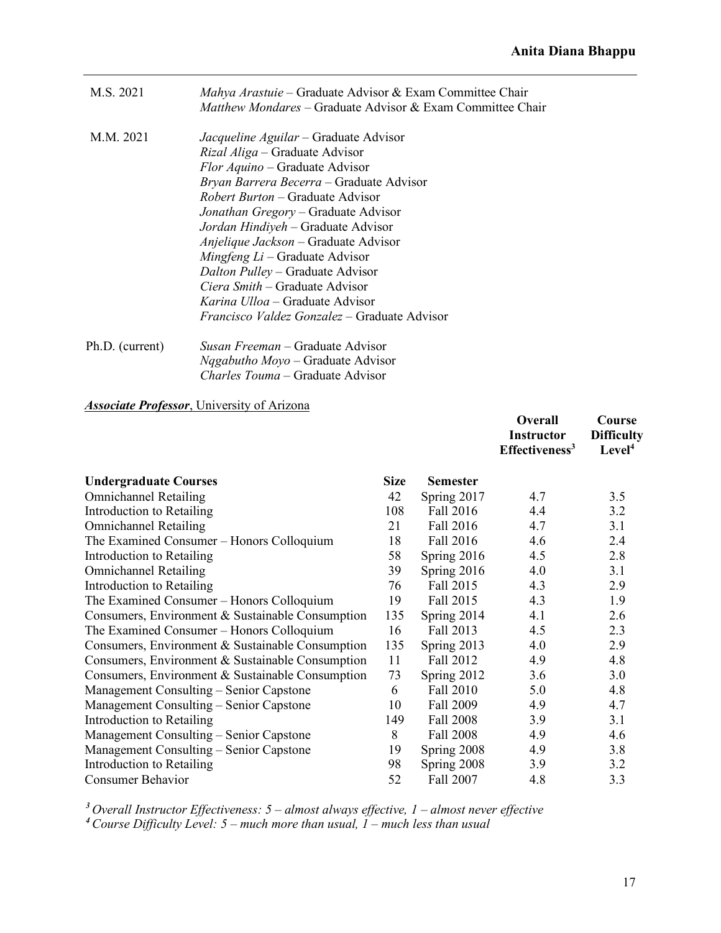| M.S. 2021       | Mahya Arastuie – Graduate Advisor & Exam Committee Chair<br>Matthew Mondares – Graduate Advisor & Exam Committee Chair |
|-----------------|------------------------------------------------------------------------------------------------------------------------|
| M.M. 2021       | Jacqueline Aguilar – Graduate Advisor                                                                                  |
|                 | <i>Rizal Aliga</i> – Graduate Advisor                                                                                  |
|                 | <i>Flor Aquino</i> – Graduate Advisor                                                                                  |
|                 | Bryan Barrera Becerra – Graduate Advisor                                                                               |
|                 | <i>Robert Burton</i> – Graduate Advisor                                                                                |
|                 | Jonathan Gregory – Graduate Advisor                                                                                    |
|                 | Jordan Hindiyeh - Graduate Advisor                                                                                     |
|                 | Anjelique Jackson – Graduate Advisor                                                                                   |
|                 | $Mingfeng Li - Graduate Advisor$                                                                                       |
|                 | <i>Dalton Pulley</i> – Graduate Advisor                                                                                |
|                 | <i>Ciera Smith</i> – Graduate Advisor                                                                                  |
|                 | <i>Karina Ulloa</i> – Graduate Advisor                                                                                 |
|                 | <i>Francisco Valdez Gonzalez</i> – Graduate Advisor                                                                    |
| Ph.D. (current) | Susan Freeman - Graduate Advisor                                                                                       |
|                 | <i>Nqgabutho Moyo</i> – Graduate Advisor                                                                               |
|                 | <i>Charles Touma</i> – Graduate Advisor                                                                                |

# *Associate Professor*, University of Arizona

|                                                  |             |                  | Overall<br><b>Instructor</b><br>Effectiveness <sup>3</sup> | Course<br><b>Difficulty</b><br>Level <sup>4</sup> |
|--------------------------------------------------|-------------|------------------|------------------------------------------------------------|---------------------------------------------------|
| <b>Undergraduate Courses</b>                     | <b>Size</b> | <b>Semester</b>  |                                                            |                                                   |
| <b>Omnichannel Retailing</b>                     | 42          | Spring 2017      | 4.7                                                        | 3.5                                               |
| Introduction to Retailing                        | 108         | Fall 2016        | 4.4                                                        | 3.2                                               |
| <b>Omnichannel Retailing</b>                     | 21          | Fall 2016        | 4.7                                                        | 3.1                                               |
| The Examined Consumer - Honors Colloquium        | 18          | Fall 2016        | 4.6                                                        | 2.4                                               |
| Introduction to Retailing                        | 58          | Spring 2016      | 4.5                                                        | 2.8                                               |
| <b>Omnichannel Retailing</b>                     | 39          | Spring 2016      | 4.0                                                        | 3.1                                               |
| Introduction to Retailing                        | 76          | Fall 2015        | 4.3                                                        | 2.9                                               |
| The Examined Consumer - Honors Colloquium        | 19          | Fall 2015        | 4.3                                                        | 1.9                                               |
| Consumers, Environment & Sustainable Consumption | 135         | Spring 2014      | 4.1                                                        | 2.6                                               |
| The Examined Consumer - Honors Colloquium        | 16          | Fall 2013        | 4.5                                                        | 2.3                                               |
| Consumers, Environment & Sustainable Consumption | 135         | Spring 2013      | 4.0                                                        | 2.9                                               |
| Consumers, Environment & Sustainable Consumption | 11          | Fall 2012        | 4.9                                                        | 4.8                                               |
| Consumers, Environment & Sustainable Consumption | 73          | Spring 2012      | 3.6                                                        | 3.0                                               |
| Management Consulting – Senior Capstone          | 6           | Fall 2010        | 5.0                                                        | 4.8                                               |
| Management Consulting - Senior Capstone          | 10          | Fall 2009        | 4.9                                                        | 4.7                                               |
| Introduction to Retailing                        | 149         | Fall 2008        | 3.9                                                        | 3.1                                               |
| Management Consulting - Senior Capstone          | 8           | <b>Fall 2008</b> | 4.9                                                        | 4.6                                               |
| Management Consulting - Senior Capstone          | 19          | Spring 2008      | 4.9                                                        | 3.8                                               |
| Introduction to Retailing                        | 98          | Spring 2008      | 3.9                                                        | 3.2                                               |
| <b>Consumer Behavior</b>                         | 52          | Fall 2007        | 4.8                                                        | 3.3                                               |

*<sup>3</sup> Overall Instructor Effectiveness: 5 – almost always effective, 1 – almost never effective <sup>4</sup>Course Difficulty Level: 5 – much more than usual, 1 – much less than usual*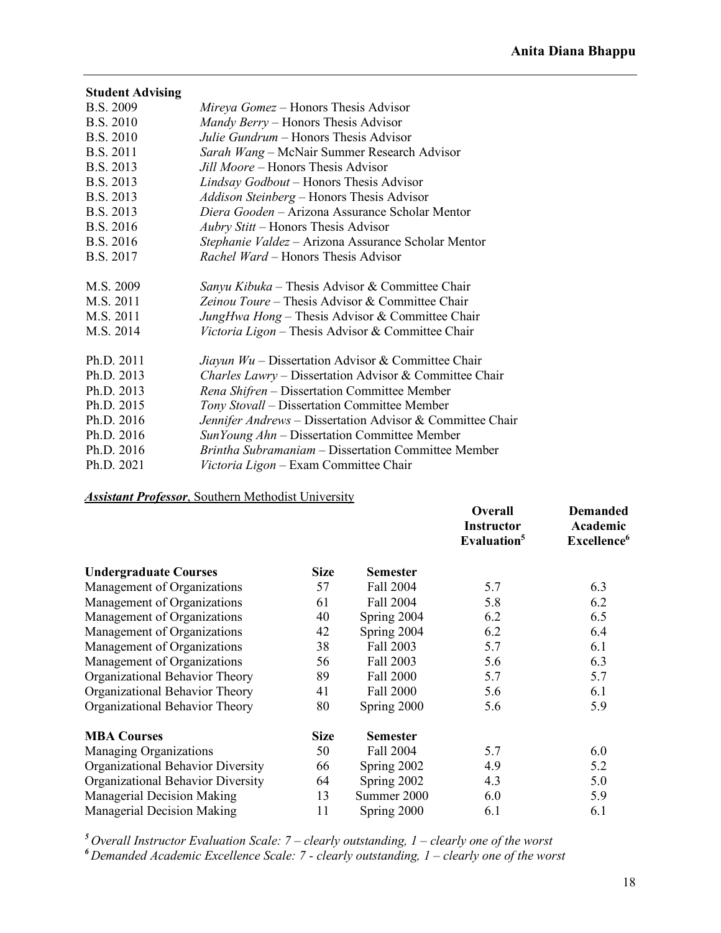| <b>Student Advising</b> |                                                           |
|-------------------------|-----------------------------------------------------------|
| <b>B.S. 2009</b>        | <i>Mireya Gomez</i> – Honors Thesis Advisor               |
| B.S. 2010               | Mandy Berry – Honors Thesis Advisor                       |
| <b>B.S. 2010</b>        | Julie Gundrum – Honors Thesis Advisor                     |
| <b>B.S. 2011</b>        | Sarah Wang - McNair Summer Research Advisor               |
| B.S. 2013               | Jill Moore – Honors Thesis Advisor                        |
| B.S. 2013               | Lindsay Godbout – Honors Thesis Advisor                   |
| B.S. 2013               | Addison Steinberg - Honors Thesis Advisor                 |
| B.S. 2013               | Diera Gooden - Arizona Assurance Scholar Mentor           |
| B.S. 2016               | <i>Aubry Stitt</i> – Honors Thesis Advisor                |
| B.S. 2016               | Stephanie Valdez - Arizona Assurance Scholar Mentor       |
| <b>B.S. 2017</b>        | <i>Rachel Ward</i> – Honors Thesis Advisor                |
|                         |                                                           |
| M.S. 2009               | Sanyu Kibuka – Thesis Advisor & Committee Chair           |
| M.S. 2011               | Zeinou Toure – Thesis Advisor & Committee Chair           |
| M.S. 2011               | JungHwa Hong – Thesis Advisor & Committee Chair           |
| M.S. 2014               | Victoria Ligon – Thesis Advisor & Committee Chair         |
|                         |                                                           |
| Ph.D. 2011              | Jiayun $Wu$ – Dissertation Advisor & Committee Chair      |
| Ph.D. 2013              | Charles Lawry - Dissertation Advisor & Committee Chair    |
| Ph.D. 2013              | Rena Shifren - Dissertation Committee Member              |
| Ph.D. 2015              | Tony Stovall – Dissertation Committee Member              |
| Ph.D. 2016              | Jennifer Andrews – Dissertation Advisor & Committee Chair |
| Ph.D. 2016              | SunYoung Ahn – Dissertation Committee Member              |
| Ph.D. 2016              | Brintha Subramaniam - Dissertation Committee Member       |
| Ph.D. 2021              | Victoria Ligon – Exam Committee Chair                     |
|                         |                                                           |

*Assistant Professor*, Southern Methodist University

|                                   |             |                 | Overall<br><b>Instructor</b><br>Evaluation <sup>5</sup> | <b>Demanded</b><br>Academic<br>Excellence <sup>6</sup> |
|-----------------------------------|-------------|-----------------|---------------------------------------------------------|--------------------------------------------------------|
| <b>Undergraduate Courses</b>      | <b>Size</b> | <b>Semester</b> |                                                         |                                                        |
| Management of Organizations       | 57          | Fall 2004       | 5.7                                                     | 6.3                                                    |
| Management of Organizations       | 61          | Fall 2004       | 5.8                                                     | 6.2                                                    |
| Management of Organizations       | 40          | Spring 2004     | 6.2                                                     | 6.5                                                    |
| Management of Organizations       | 42          | Spring 2004     | 6.2                                                     | 6.4                                                    |
| Management of Organizations       | 38          | Fall 2003       | 5.7                                                     | 6.1                                                    |
| Management of Organizations       | 56          | Fall 2003       | 5.6                                                     | 6.3                                                    |
| Organizational Behavior Theory    | 89          | Fall 2000       | 5.7                                                     | 5.7                                                    |
| Organizational Behavior Theory    | 41          | Fall 2000       | 5.6                                                     | 6.1                                                    |
| Organizational Behavior Theory    | 80          | Spring 2000     | 5.6                                                     | 5.9                                                    |
| <b>MBA Courses</b>                | <b>Size</b> | <b>Semester</b> |                                                         |                                                        |
| <b>Managing Organizations</b>     | 50          | Fall 2004       | 5.7                                                     | 6.0                                                    |
| Organizational Behavior Diversity | 66          | Spring 2002     | 4.9                                                     | 5.2                                                    |
| Organizational Behavior Diversity | 64          | Spring 2002     | 4.3                                                     | 5.0                                                    |
| Managerial Decision Making        | 13          | Summer 2000     | 6.0                                                     | 5.9                                                    |
| Managerial Decision Making        | 11          | Spring 2000     | 6.1                                                     | 6.1                                                    |

*<sup>5</sup> Overall Instructor Evaluation Scale: 7 – clearly outstanding, 1 – clearly one of the worst*

*<sup>6</sup> Demanded Academic Excellence Scale: 7 - clearly outstanding, 1 – clearly one of the worst*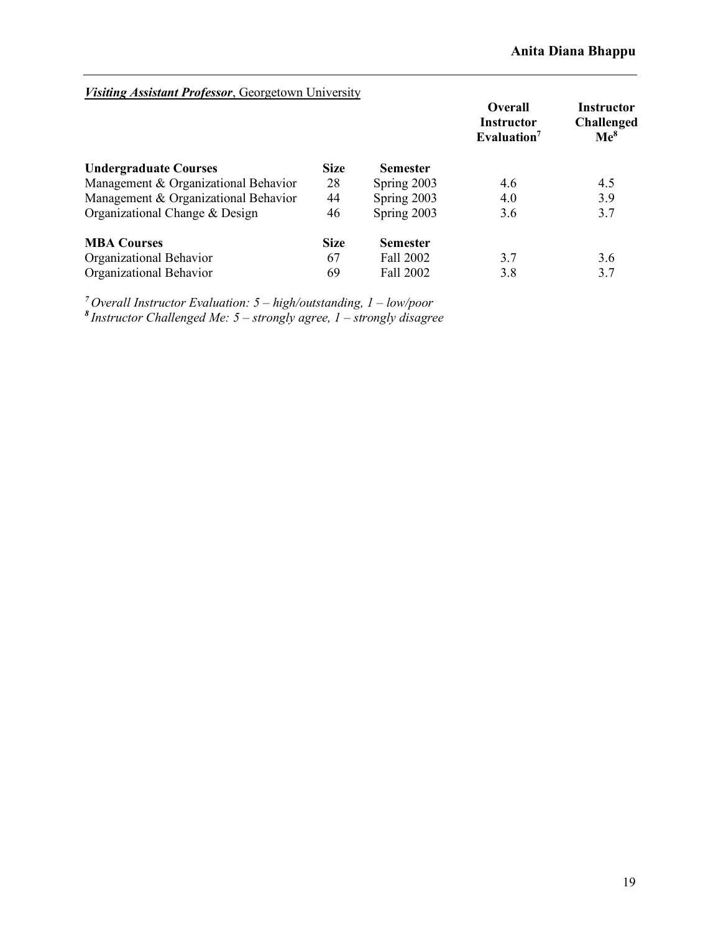| Visiting Assistant Professor, Georgetown University |             |                 | Overall                                      | <b>Instructor</b>                    |
|-----------------------------------------------------|-------------|-----------------|----------------------------------------------|--------------------------------------|
|                                                     |             |                 | <b>Instructor</b><br>Evaluation <sup>7</sup> | <b>Challenged</b><br>$\mathbf{Me}^8$ |
| <b>Undergraduate Courses</b>                        | <b>Size</b> | <b>Semester</b> |                                              |                                      |
| Management & Organizational Behavior                | 28          | Spring 2003     | 4.6                                          | 4.5                                  |
| Management & Organizational Behavior                | 44          | Spring 2003     | 4.0                                          | 3.9                                  |
| Organizational Change & Design                      | 46          | Spring 2003     | 3.6                                          | 3.7                                  |
| <b>MBA Courses</b>                                  | <b>Size</b> | <b>Semester</b> |                                              |                                      |
| Organizational Behavior                             | 67          | Fall 2002       | 3.7                                          | 3.6                                  |
| Organizational Behavior                             | 69          | Fall 2002       | 3.8                                          | 3.7                                  |

*<sup>7</sup> Overall Instructor Evaluation: 5 – high/outstanding, 1 – low/poor <sup>8</sup> Instructor Challenged Me: 5 – strongly agree, 1 – strongly disagree*